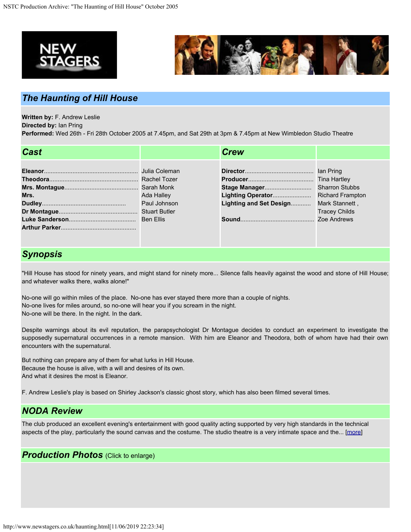



## *The Haunting of Hill House*

**Written by:** F. Andrew Leslie

**Directed by:** Ian Pring

**Performed:** Wed 26th - Fri 28th October 2005 at 7.45pm, and Sat 29th at 3pm & 7.45pm at New Wimbledon Studio Theatre

| <b>Cast</b> |                            | <b>Crew</b>                            |                      |
|-------------|----------------------------|----------------------------------------|----------------------|
| Mrs.        | Ada Halley<br>Paul Johnson | Lighting and Set Design Mark Stannett, | <b>Tracey Childs</b> |

## *Synopsis*

"Hill House has stood for ninety years, and might stand for ninety more... Silence falls heavily against the wood and stone of Hill House; and whatever walks there, walks alone!"

No-one will go within miles of the place. No-one has ever stayed there more than a couple of nights. No-one lives for miles around, so no-one will hear you if you scream in the night. No-one will be there. In the night. In the dark.

Despite warnings about its evil reputation, the parapsychologist Dr Montague decides to conduct an experiment to investigate the supposedly supernatural occurrences in a remote mansion. With him are Eleanor and Theodora, both of whom have had their own encounters with the supernatural.

But nothing can prepare any of them for what lurks in Hill House. Because the house is alive, with a will and desires of its own. And what it desires the most is Eleanor.

F. Andrew Leslie's play is based on Shirley Jackson's classic ghost story, which has also been filmed several times.

## *NODA Review*

The club produced an excellent evening's entertainment with good quality acting supported by very high standards in the technical aspects of the play, particularly the sound canvas and the costume. The studio theatre is a very intimate space and the... [\[more](http://www.newstagers.co.uk/hauntingreview.html)]

## *Production Photos* (Click to enlarge)